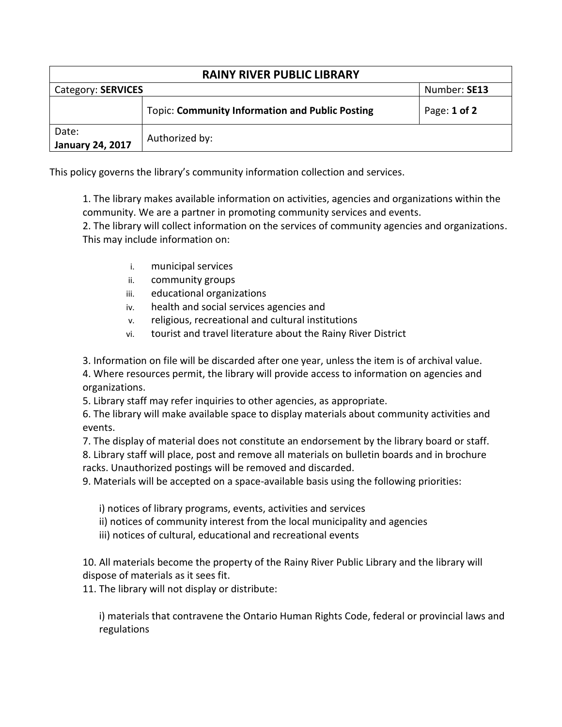| <b>RAINY RIVER PUBLIC LIBRARY</b> |                                                        |                  |  |
|-----------------------------------|--------------------------------------------------------|------------------|--|
| Category: SERVICES                |                                                        | Number: SE13     |  |
|                                   | <b>Topic: Community Information and Public Posting</b> | Page: $1$ of $2$ |  |
| Date:<br><b>January 24, 2017</b>  | Authorized by:                                         |                  |  |

This policy governs the library's community information collection and services.

1. The library makes available information on activities, agencies and organizations within the community. We are a partner in promoting community services and events.

2. The library will collect information on the services of community agencies and organizations. This may include information on:

- i. municipal services
- ii. community groups
- iii. educational organizations
- iv. health and social services agencies and
- v. religious, recreational and cultural institutions
- vi. tourist and travel literature about the Rainy River District

3. Information on file will be discarded after one year, unless the item is of archival value.

4. Where resources permit, the library will provide access to information on agencies and organizations.

5. Library staff may refer inquiries to other agencies, as appropriate.

6. The library will make available space to display materials about community activities and events.

7. The display of material does not constitute an endorsement by the library board or staff. 8. Library staff will place, post and remove all materials on bulletin boards and in brochure racks. Unauthorized postings will be removed and discarded.

9. Materials will be accepted on a space-available basis using the following priorities:

i) notices of library programs, events, activities and services

ii) notices of community interest from the local municipality and agencies

iii) notices of cultural, educational and recreational events

10. All materials become the property of the Rainy River Public Library and the library will dispose of materials as it sees fit.

11. The library will not display or distribute:

i) materials that contravene the Ontario Human Rights Code, federal or provincial laws and regulations